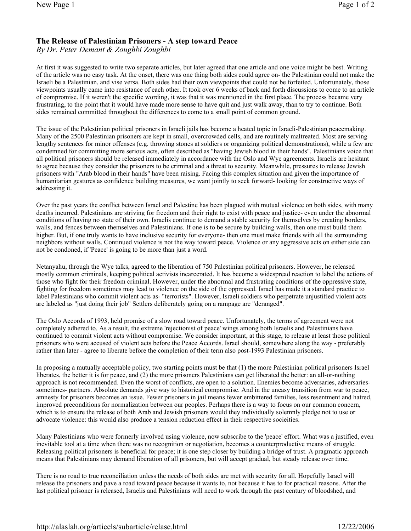## The Release of Palestinian Prisoners - A step toward Peace

By Dr. Peter Demant & Zoughbi Zoughbi

At first it was suggested to write two separate articles, but later agreed that one article and one voice might be best. Writing of the article was no easy task. At the onset, there was one thing both sides could agree on- the Palestinian could not make the Israeli be a Palestinian, and vise versa. Both sides had their own viewpoints that could not be forfeited. Unfortunately, those viewpoints usually came into resistance of each other. It took over 6 weeks of back and forth discussions to come to an article of compromise. If it weren't the specific wording, it was that it was mentioned in the first place. The process became very frustrating, to the point that it would have made more sense to have quit and just walk away, than to try to continue. Both sides remained committed throughout the differences to come to a small point of common ground.

The issue of the Palestinian political prisoners in Israeli jails has become a heated topic in Israeli-Palestinian peacemaking. Many of the 2500 Palestinian prisoners are kept in small, overcrowded cells, and are routinely maltreated. Most are serving lengthy sentences for minor offenses (e.g. throwing stones at soldiers or organizing political demonstrations), while a few are condemned for committing more serious acts, often described as "having Jewish blood in their hands". Palestinians voice that all political prisoners should be released immediately in accordance with the Oslo and Wye agreements. Israelis are hesitant to agree because they consider the prisoners to be criminal and a threat to security. Meanwhile, pressures to release Jewish prisoners with "Arab blood in their hands" have been raising. Facing this complex situation and given the importance of humanitarian gestures as confidence building measures, we want jointly to seek forward- looking for constructive ways of addressing it.

Over the past years the conflict between Israel and Palestine has been plagued with mutual violence on both sides, with many deaths incurred. Palestinians are striving for freedom and their right to exist with peace and justice- even under the abnormal conditions of having no state of their own. Israelis continue to demand a stable security for themselves by creating borders, walls, and fences between themselves and Palestinians. If one is to be secure by building walls, then one must build them higher. But, if one truly wants to have inclusive security for everyone- then one must make friends with all the surrounding neighbors without walls. Continued violence is not the way toward peace. Violence or any aggressive acts on either side can not be condoned, if 'Peace' is going to be more than just a word.

Netanyahu, through the Wye talks, agreed to the liberation of 750 Palestinian political prisoners. However, he released mostly common criminals, keeping political activists incarcerated. It has become a widespread reaction to label the actions of those who fight for their freedom criminal. However, under the abnormal and frustrating conditions of the oppressive state, fighting for freedom sometimes may lead to violence on the side of the oppressed. Israel has made it a standard practice to label Palestinians who commit violent acts as- "terrorists". However, Israeli soldiers who perpetrate unjustified violent acts are labeled as "just doing their job" Settlers deliberately going on a rampage are "deranged".

The Oslo Accords of 1993, held promise of a slow road toward peace. Unfortunately, the terms of agreement were not completely adhered to. As a result, the extreme 'rejectionist of peace' wings among both Israelis and Palestinians have continued to commit violent acts without compromise. We consider important, at this stage, to release at least those political prisoners who were accused of violent acts before the Peace Accords. Israel should, somewhere along the way - preferably rather than later - agree to liberate before the completion of their term also post-1993 Palestinian prisoners.

In proposing a mutually acceptable policy, two starting points must be that (1) the more Palestinian political prisoners Israel liberates, the better it is for peace, and (2) the more prisoners Palestinians can get liberated the better: an all-or-nothing approach is not recommended. Even the worst of conflicts, are open to a solution. Enemies become adversaries, adversariessometimes- partners. Absolute demands give way to historical compromise. And in the uneasy transition from war to peace, amnesty for prisoners becomes an issue. Fewer prisoners in jail means fewer embittered families, less resentment and hatred, improved preconditions for normalization between our peoples. Perhaps there is a way to focus on our common concern, which is to ensure the release of both Arab and Jewish prisoners would they individually solemnly pledge not to use or advocate violence: this would also produce a tension reduction effect in their respective socieities.

Many Palestinians who were formerly involved using violence, now subscribe to the 'peace' effort. What was a justified, even inevitable tool at a time when there was no recognition or negotiation, becomes a counterproductive means of struggle. Releasing political prisoners is beneficial for peace; it is one step closer by building a bridge of trust. A pragmatic approach means that Palestinians may demand liberation of all prisoners, but will accept gradual, but steady release over time.

There is no road to true reconciliation unless the needs of both sides are met with security for all. Hopefully Israel will release the prisoners and pave a road toward peace because it wants to, not because it has to for practical reasons. After the last political prisoner is released, Israelis and Palestinians will need to work through the past century of bloodshed, and